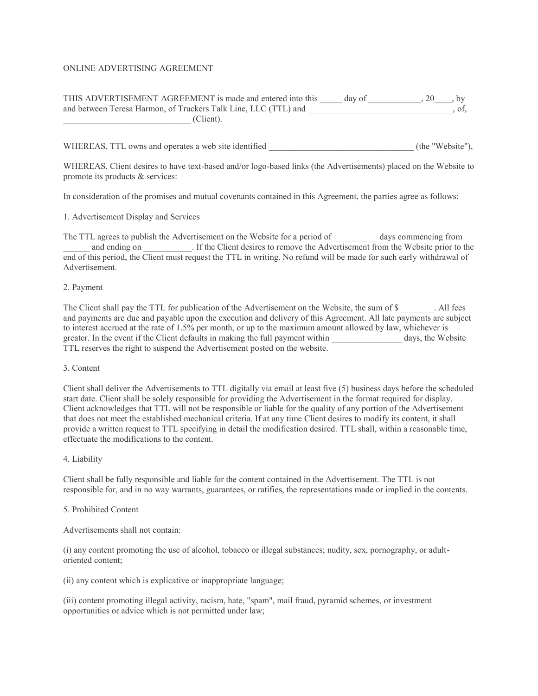# ONLINE ADVERTISING AGREEMENT

# THIS ADVERTISEMENT AGREEMENT is made and entered into this \_\_\_\_\_ day of \_\_\_\_\_\_\_\_\_\_, 20\_\_\_\_, by and between Teresa Harmon, of Truckers Talk Line, LLC (TTL) and \_\_\_\_\_\_\_\_\_\_\_\_\_\_\_\_\_\_\_\_\_\_, of, \_\_\_\_\_\_\_\_\_\_\_\_\_\_\_\_\_\_\_\_\_\_\_\_\_\_\_\_\_ (Client).

WHEREAS, TTL owns and operates a web site identified (the "Website"),

WHEREAS, Client desires to have text-based and/or logo-based links (the Advertisements) placed on the Website to promote its products & services:

In consideration of the promises and mutual covenants contained in this Agreement, the parties agree as follows:

1. Advertisement Display and Services

The TTL agrees to publish the Advertisement on the Website for a period of \_\_\_\_\_\_\_\_\_\_ days commencing from and ending on \_\_\_\_\_\_\_\_\_\_. If the Client desires to remove the Advertisement from the Website prior to the end of this period, the Client must request the TTL in writing. No refund will be made for such early withdrawal of Advertisement.

#### 2. Payment

The Client shall pay the TTL for publication of the Advertisement on the Website, the sum of \$ . All fees and payments are due and payable upon the execution and delivery of this Agreement. All late payments are subject to interest accrued at the rate of 1.5% per month, or up to the maximum amount allowed by law, whichever is greater. In the event if the Client defaults in making the full payment within days, the Website TTL reserves the right to suspend the Advertisement posted on the website.

#### 3. Content

Client shall deliver the Advertisements to TTL digitally via email at least five (5) business days before the scheduled start date. Client shall be solely responsible for providing the Advertisement in the format required for display. Client acknowledges that TTL will not be responsible or liable for the quality of any portion of the Advertisement that does not meet the established mechanical criteria. If at any time Client desires to modify its content, it shall provide a written request to TTL specifying in detail the modification desired. TTL shall, within a reasonable time, effectuate the modifications to the content.

#### 4. Liability

Client shall be fully responsible and liable for the content contained in the Advertisement. The TTL is not responsible for, and in no way warrants, guarantees, or ratifies, the representations made or implied in the contents.

#### 5. Prohibited Content

#### Advertisements shall not contain:

(i) any content promoting the use of alcohol, tobacco or illegal substances; nudity, sex, pornography, or adultoriented content;

(ii) any content which is explicative or inappropriate language;

(iii) content promoting illegal activity, racism, hate, "spam", mail fraud, pyramid schemes, or investment opportunities or advice which is not permitted under law;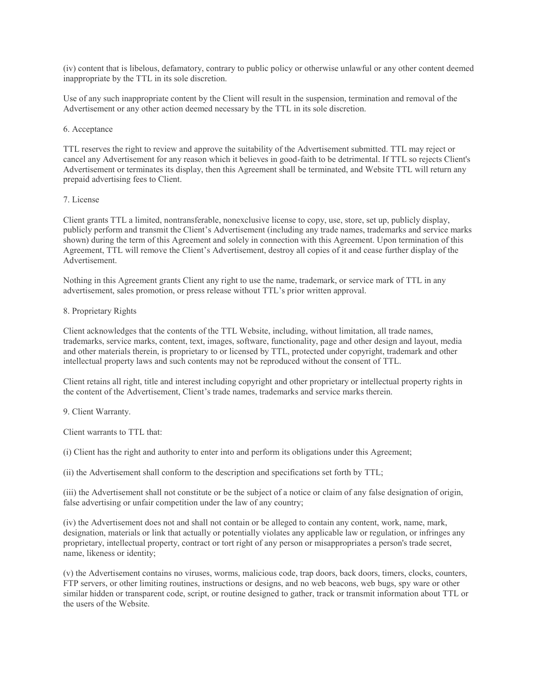(iv) content that is libelous, defamatory, contrary to public policy or otherwise unlawful or any other content deemed inappropriate by the TTL in its sole discretion.

Use of any such inappropriate content by the Client will result in the suspension, termination and removal of the Advertisement or any other action deemed necessary by the TTL in its sole discretion.

#### 6. Acceptance

TTL reserves the right to review and approve the suitability of the Advertisement submitted. TTL may reject or cancel any Advertisement for any reason which it believes in good-faith to be detrimental. If TTL so rejects Client's Advertisement or terminates its display, then this Agreement shall be terminated, and Website TTL will return any prepaid advertising fees to Client.

## 7. License

Client grants TTL a limited, nontransferable, nonexclusive license to copy, use, store, set up, publicly display, publicly perform and transmit the Client's Advertisement (including any trade names, trademarks and service marks shown) during the term of this Agreement and solely in connection with this Agreement. Upon termination of this Agreement, TTL will remove the Client's Advertisement, destroy all copies of it and cease further display of the Advertisement.

Nothing in this Agreement grants Client any right to use the name, trademark, or service mark of TTL in any advertisement, sales promotion, or press release without TTL's prior written approval.

#### 8. Proprietary Rights

Client acknowledges that the contents of the TTL Website, including, without limitation, all trade names, trademarks, service marks, content, text, images, software, functionality, page and other design and layout, media and other materials therein, is proprietary to or licensed by TTL, protected under copyright, trademark and other intellectual property laws and such contents may not be reproduced without the consent of TTL.

Client retains all right, title and interest including copyright and other proprietary or intellectual property rights in the content of the Advertisement, Client's trade names, trademarks and service marks therein.

9. Client Warranty.

Client warrants to TTL that:

(i) Client has the right and authority to enter into and perform its obligations under this Agreement;

(ii) the Advertisement shall conform to the description and specifications set forth by TTL;

(iii) the Advertisement shall not constitute or be the subject of a notice or claim of any false designation of origin, false advertising or unfair competition under the law of any country;

(iv) the Advertisement does not and shall not contain or be alleged to contain any content, work, name, mark, designation, materials or link that actually or potentially violates any applicable law or regulation, or infringes any proprietary, intellectual property, contract or tort right of any person or misappropriates a person's trade secret, name, likeness or identity;

(v) the Advertisement contains no viruses, worms, malicious code, trap doors, back doors, timers, clocks, counters, FTP servers, or other limiting routines, instructions or designs, and no web beacons, web bugs, spy ware or other similar hidden or transparent code, script, or routine designed to gather, track or transmit information about TTL or the users of the Website.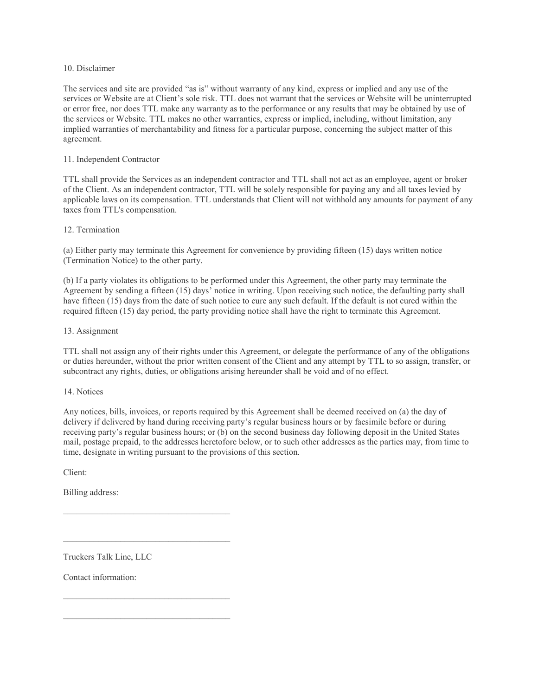## 10. Disclaimer

The services and site are provided "as is" without warranty of any kind, express or implied and any use of the services or Website are at Client's sole risk. TTL does not warrant that the services or Website will be uninterrupted or error free, nor does TTL make any warranty as to the performance or any results that may be obtained by use of the services or Website. TTL makes no other warranties, express or implied, including, without limitation, any implied warranties of merchantability and fitness for a particular purpose, concerning the subject matter of this agreement.

# 11. Independent Contractor

TTL shall provide the Services as an independent contractor and TTL shall not act as an employee, agent or broker of the Client. As an independent contractor, TTL will be solely responsible for paying any and all taxes levied by applicable laws on its compensation. TTL understands that Client will not withhold any amounts for payment of any taxes from TTL's compensation.

## 12. Termination

(a) Either party may terminate this Agreement for convenience by providing fifteen (15) days written notice (Termination Notice) to the other party.

(b) If a party violates its obligations to be performed under this Agreement, the other party may terminate the Agreement by sending a fifteen (15) days' notice in writing. Upon receiving such notice, the defaulting party shall have fifteen (15) days from the date of such notice to cure any such default. If the default is not cured within the required fifteen (15) day period, the party providing notice shall have the right to terminate this Agreement.

## 13. Assignment

TTL shall not assign any of their rights under this Agreement, or delegate the performance of any of the obligations or duties hereunder, without the prior written consent of the Client and any attempt by TTL to so assign, transfer, or subcontract any rights, duties, or obligations arising hereunder shall be void and of no effect.

## 14. Notices

Any notices, bills, invoices, or reports required by this Agreement shall be deemed received on (a) the day of delivery if delivered by hand during receiving party's regular business hours or by facsimile before or during receiving party's regular business hours; or (b) on the second business day following deposit in the United States mail, postage prepaid, to the addresses heretofore below, or to such other addresses as the parties may, from time to time, designate in writing pursuant to the provisions of this section.

Client:

Billing address:

Truckers Talk Line, LLC

 $\mathcal{L}_\text{max}$  and  $\mathcal{L}_\text{max}$  and  $\mathcal{L}_\text{max}$  and  $\mathcal{L}_\text{max}$ 

 $\mathcal{L}_\text{max}$  and  $\mathcal{L}_\text{max}$  and  $\mathcal{L}_\text{max}$  and  $\mathcal{L}_\text{max}$ 

 $\mathcal{L}_\text{max}$  and  $\mathcal{L}_\text{max}$  and  $\mathcal{L}_\text{max}$  and  $\mathcal{L}_\text{max}$ 

Contact information: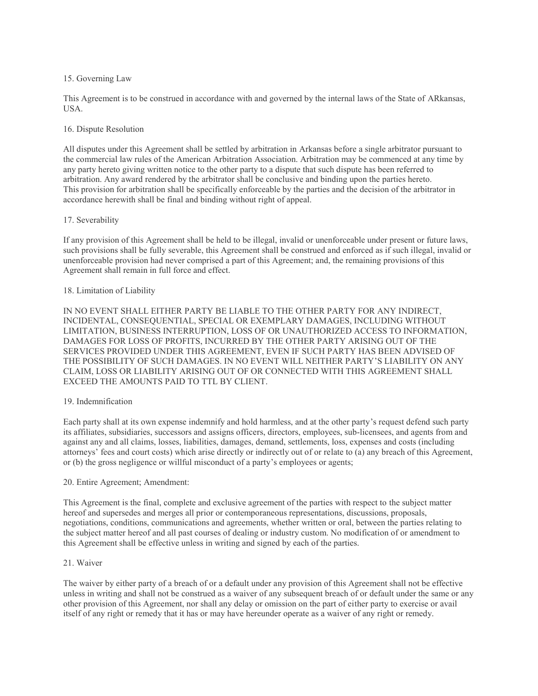## 15. Governing Law

This Agreement is to be construed in accordance with and governed by the internal laws of the State of ARkansas, **USA** 

## 16. Dispute Resolution

All disputes under this Agreement shall be settled by arbitration in Arkansas before a single arbitrator pursuant to the commercial law rules of the American Arbitration Association. Arbitration may be commenced at any time by any party hereto giving written notice to the other party to a dispute that such dispute has been referred to arbitration. Any award rendered by the arbitrator shall be conclusive and binding upon the parties hereto. This provision for arbitration shall be specifically enforceable by the parties and the decision of the arbitrator in accordance herewith shall be final and binding without right of appeal.

## 17. Severability

If any provision of this Agreement shall be held to be illegal, invalid or unenforceable under present or future laws, such provisions shall be fully severable, this Agreement shall be construed and enforced as if such illegal, invalid or unenforceable provision had never comprised a part of this Agreement; and, the remaining provisions of this Agreement shall remain in full force and effect.

## 18. Limitation of Liability

IN NO EVENT SHALL EITHER PARTY BE LIABLE TO THE OTHER PARTY FOR ANY INDIRECT, INCIDENTAL, CONSEQUENTIAL, SPECIAL OR EXEMPLARY DAMAGES, INCLUDING WITHOUT LIMITATION, BUSINESS INTERRUPTION, LOSS OF OR UNAUTHORIZED ACCESS TO INFORMATION, DAMAGES FOR LOSS OF PROFITS, INCURRED BY THE OTHER PARTY ARISING OUT OF THE SERVICES PROVIDED UNDER THIS AGREEMENT, EVEN IF SUCH PARTY HAS BEEN ADVISED OF THE POSSIBILITY OF SUCH DAMAGES. IN NO EVENT WILL NEITHER PARTY'S LIABILITY ON ANY CLAIM, LOSS OR LIABILITY ARISING OUT OF OR CONNECTED WITH THIS AGREEMENT SHALL EXCEED THE AMOUNTS PAID TO TTL BY CLIENT.

## 19. Indemnification

Each party shall at its own expense indemnify and hold harmless, and at the other party's request defend such party its affiliates, subsidiaries, successors and assigns officers, directors, employees, sub-licensees, and agents from and against any and all claims, losses, liabilities, damages, demand, settlements, loss, expenses and costs (including attorneys' fees and court costs) which arise directly or indirectly out of or relate to (a) any breach of this Agreement, or (b) the gross negligence or willful misconduct of a party's employees or agents;

## 20. Entire Agreement; Amendment:

This Agreement is the final, complete and exclusive agreement of the parties with respect to the subject matter hereof and supersedes and merges all prior or contemporaneous representations, discussions, proposals, negotiations, conditions, communications and agreements, whether written or oral, between the parties relating to the subject matter hereof and all past courses of dealing or industry custom. No modification of or amendment to this Agreement shall be effective unless in writing and signed by each of the parties.

## 21. Waiver

The waiver by either party of a breach of or a default under any provision of this Agreement shall not be effective unless in writing and shall not be construed as a waiver of any subsequent breach of or default under the same or any other provision of this Agreement, nor shall any delay or omission on the part of either party to exercise or avail itself of any right or remedy that it has or may have hereunder operate as a waiver of any right or remedy.